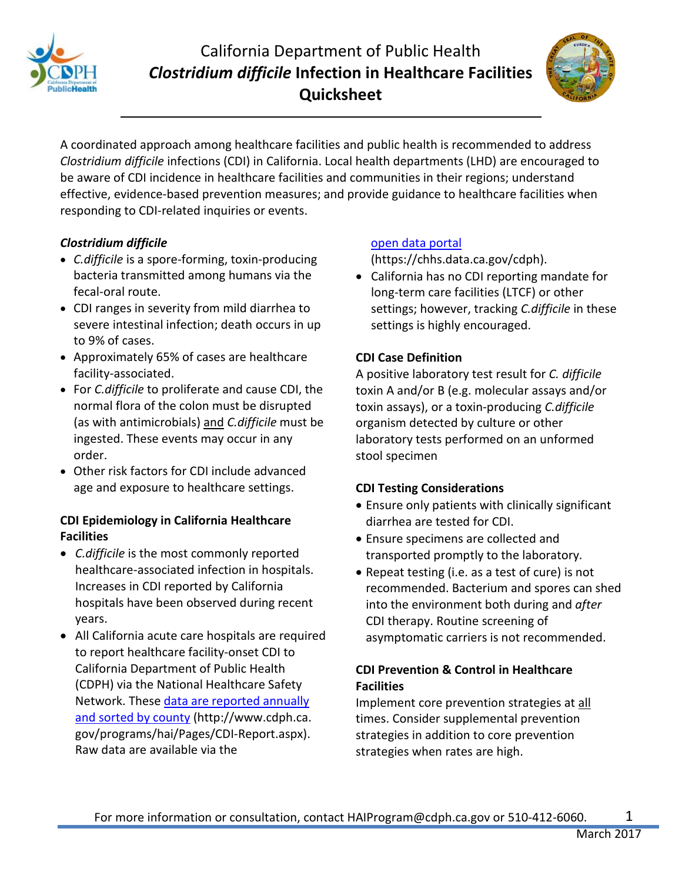

# California Department of Public Health *Clostridium difficile* **Infection in Healthcare Facilities Quicksheet**



A coordinated approach among healthcare facilities and public health is recommended to address *Clostridium difficile* infections (CDI) in California. Local health departments (LHD) are encouraged to be aware of CDI incidence in healthcare facilities and communities in their regions; understand effective, evidence-based prevention measures; and provide guidance to healthcare facilities when responding to CDI-related inquiries or events.

# *Clostridium difficile*

- *C.difficile* is a spore-forming, toxin-producing bacteria transmitted among humans via the fecal-oral route.
- CDI ranges in severity from mild diarrhea to severe intestinal infection; death occurs in up to 9% of cases.
- Approximately 65% of cases are healthcare facility-associated.
- For *C.difficile* to proliferate and cause CDI, the normal flora of the colon must be disrupted (as with antimicrobials) and *C.difficile* must be ingested. These events may occur in any order.
- Other risk factors for CDI include advanced age and exposure to healthcare settings.

#### **CDI Epidemiology in California Healthcare Facilities**

- *C.difficile* is the most commonly reported healthcare-associated infection in hospitals. Increases in CDI reported by California hospitals have been observed during recent years.
- All California acute care hospitals are required to report healthcare facility-onset CDI to California Department of Public Health (CDPH) via the National Healthcare Safety Network. These [data are reported annually](http://www.cdph.ca.gov/programs/hai/Pages/CDI-Report.aspx)  [and sorted by county](http://www.cdph.ca.gov/programs/hai/Pages/CDI-Report.aspx) (http://www.cdph.ca. gov/programs/hai/Pages/CDI-Report.aspx). Raw data are available via the

#### [open data portal](https://chhs.data.ca.gov/cdph)

(https://chhs.data.ca.gov/cdph).

• California has no CDI reporting mandate for long-term care facilities (LTCF) or other settings; however, tracking *C.difficile* in these settings is highly encouraged.

#### **CDI Case Definition**

A positive laboratory test result for *C. difficile* toxin A and/or B (e.g. molecular assays and/or toxin assays), or a toxin-producing *C.difficile* organism detected by culture or other laboratory tests performed on an unformed stool specimen

#### **CDI Testing Considerations**

- Ensure only patients with clinically significant diarrhea are tested for CDI.
- Ensure specimens are collected and transported promptly to the laboratory.
- Repeat testing (i.e. as a test of cure) is not recommended. Bacterium and spores can shed into the environment both during and *after* CDI therapy. Routine screening of asymptomatic carriers is not recommended.

# **CDI Prevention & Control in Healthcare Facilities**

Implement core prevention strategies at all times. Consider supplemental prevention strategies in addition to core prevention strategies when rates are high.

1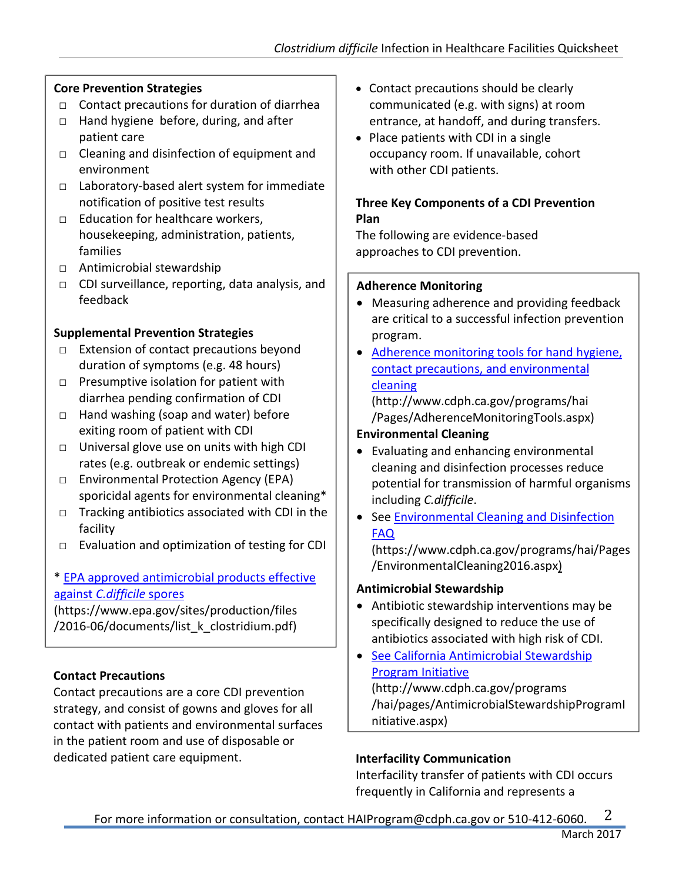# **Core Prevention Strategies**

- □ Contact precautions for duration of diarrhea
- □ Hand hygiene before, during, and after patient care
- □ Cleaning and disinfection of equipment and environment
- □ Laboratory-based alert system for immediate notification of positive test results
- □ Education for healthcare workers, housekeeping, administration, patients, families
- □ Antimicrobial stewardship
- □ CDI surveillance, reporting, data analysis, and feedback

# **Supplemental Prevention Strategies**

- □ Extension of contact precautions beyond duration of symptoms (e.g. 48 hours)
- $\Box$  Presumptive isolation for patient with diarrhea pending confirmation of CDI
- □ Hand washing (soap and water) before exiting room of patient with CDI
- □ Universal glove use on units with high CDI rates (e.g. outbreak or endemic settings)
- □ Environmental Protection Agency (EPA) sporicidal agents for environmental cleaning\*
- $\Box$  Tracking antibiotics associated with CDI in the facility
- □ Evaluation and optimization of testing for CDI

#### \* [EPA approved antimicrobial products effective](https://www.epa.gov/sites/production/files/2016-06/documents/list_k_clostridium.pdf)  against *[C.difficile](https://www.epa.gov/sites/production/files/2016-06/documents/list_k_clostridium.pdf)* spores

(https://www.epa.gov/sites/production/files /2016-06/documents/list\_k\_clostridium.pdf)

# **Contact Precautions**

Contact precautions are a core CDI prevention strategy, and consist of gowns and gloves for all contact with patients and environmental surfaces in the patient room and use of disposable or dedicated patient care equipment.

- Contact precautions should be clearly communicated (e.g. with signs) at room entrance, at handoff, and during transfers.
- Place patients with CDI in a single occupancy room. If unavailable, cohort with other CDI patients.

# **Three Key Components of a CDI Prevention Plan**

The following are evidence-based approaches to CDI prevention.

#### **Adherence Monitoring**

- Measuring adherence and providing feedback are critical to a successful infection prevention program.
- [Adherence monitoring tools for hand hygiene,](http://www.cdph.ca.gov/programs/hai/Pages/AdherenceMonitoringTools.aspx)  [contact precautions, and environmental](http://www.cdph.ca.gov/programs/hai/Pages/AdherenceMonitoringTools.aspx)  [cleaning](http://www.cdph.ca.gov/programs/hai/Pages/AdherenceMonitoringTools.aspx) (http://www.cdph.ca.gov/programs/hai

/Pages/AdherenceMonitoringTools.aspx)

# **Environmental Cleaning**

- Evaluating and enhancing environmental cleaning and disinfection processes reduce potential for transmission of harmful organisms including *C.difficile*.
- See [Environmental Cleaning and Disinfection](https://www.cdph.ca.gov/programs/hai/Pages/EnvironmentalCleaning2016.aspx)  [FAQ](https://www.cdph.ca.gov/programs/hai/Pages/EnvironmentalCleaning2016.aspx)

(https://www.cdph.ca.gov/programs/hai/Pages /EnvironmentalCleaning2016.aspx)

# **Antimicrobial Stewardship**

- Antibiotic stewardship interventions may be specifically designed to reduce the use of antibiotics associated with high risk of CDI.
- [See California Antimicrobial Stewardship](http://www.cdph.ca.gov/programs/hai/pages/AntimicrobialStewardshipProgramInitiative.aspx)  [Program Initiative](http://www.cdph.ca.gov/programs/hai/pages/AntimicrobialStewardshipProgramInitiative.aspx) (http://www.cdph.ca.gov/programs /hai/pages/AntimicrobialStewardshipProgramI

nitiative.aspx)

# **Interfacility Communication**

Interfacility transfer of patients with CDI occurs frequently in California and represents a